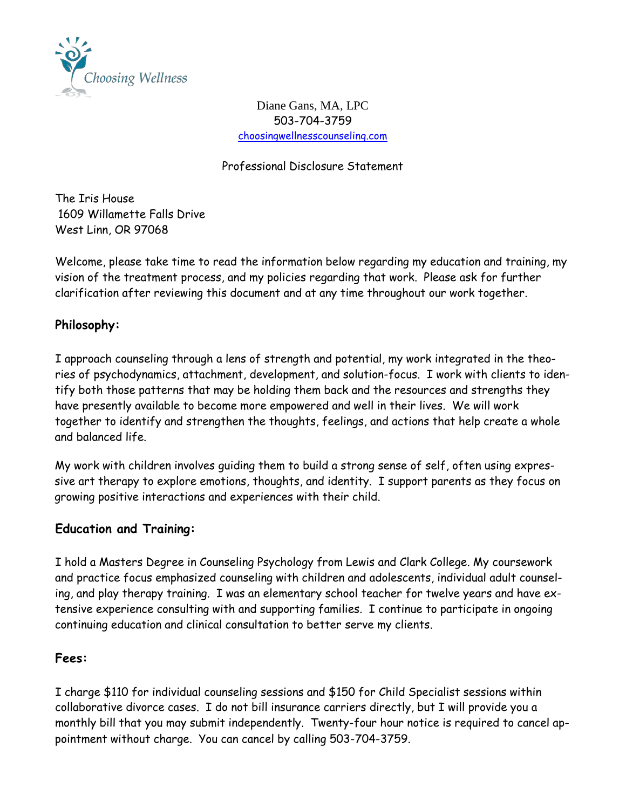

Diane Gans, MA, LPC 503-704-3759 [choosingwellnesscounseling.com](http://choosingwellnesscounseling.com/)

Professional Disclosure Statement

The Iris House 1609 Willamette Falls Drive West Linn, OR 97068

Welcome, please take time to read the information below regarding my education and training, my vision of the treatment process, and my policies regarding that work. Please ask for further clarification after reviewing this document and at any time throughout our work together.

## **Philosophy:**

I approach counseling through a lens of strength and potential, my work integrated in the theories of psychodynamics, attachment, development, and solution-focus. I work with clients to identify both those patterns that may be holding them back and the resources and strengths they have presently available to become more empowered and well in their lives. We will work together to identify and strengthen the thoughts, feelings, and actions that help create a whole and balanced life.

My work with children involves guiding them to build a strong sense of self, often using expressive art therapy to explore emotions, thoughts, and identity. I support parents as they focus on growing positive interactions and experiences with their child.

## **Education and Training:**

I hold a Masters Degree in Counseling Psychology from Lewis and Clark College. My coursework and practice focus emphasized counseling with children and adolescents, individual adult counseling, and play therapy training. I was an elementary school teacher for twelve years and have extensive experience consulting with and supporting families. I continue to participate in ongoing continuing education and clinical consultation to better serve my clients.

## **Fees:**

I charge \$110 for individual counseling sessions and \$150 for Child Specialist sessions within collaborative divorce cases. I do not bill insurance carriers directly, but I will provide you a monthly bill that you may submit independently. Twenty-four hour notice is required to cancel appointment without charge. You can cancel by calling 503-704-3759.